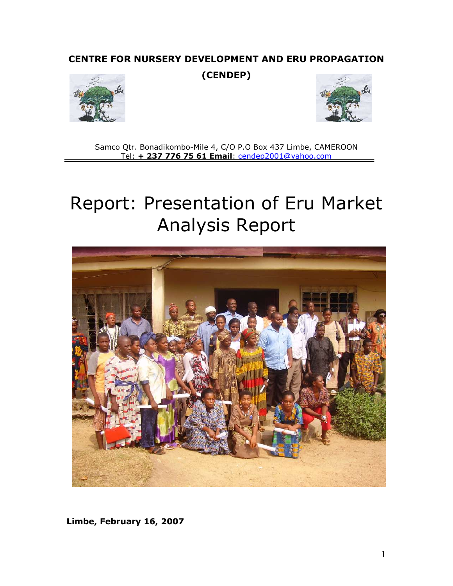# CENTRE FOR NURSERY DEVELOPMENT AND ERU PROPAGATION

(CENDEP)





Samco Qtr. Bonadikombo-Mile 4, C/O P.O Box 437 Limbe, CAMEROON Tel: + 237 776 75 61 Email: cendep2001@yahoo.com

# Report: Presentation of Eru Market Analysis Report



Limbe, February 16, 2007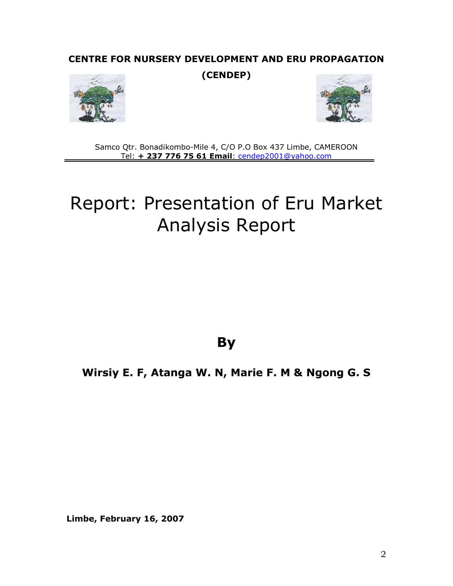# CENTRE FOR NURSERY DEVELOPMENT AND ERU PROPAGATION

(CENDEP)





Samco Qtr. Bonadikombo-Mile 4, C/O P.O Box 437 Limbe, CAMEROON Tel: + 237 776 75 61 Email: cendep2001@yahoo.com

# Report: Presentation of Eru Market Analysis Report

**By** 

Wirsiy E. F, Atanga W. N, Marie F. M & Ngong G. S

Limbe, February 16, 2007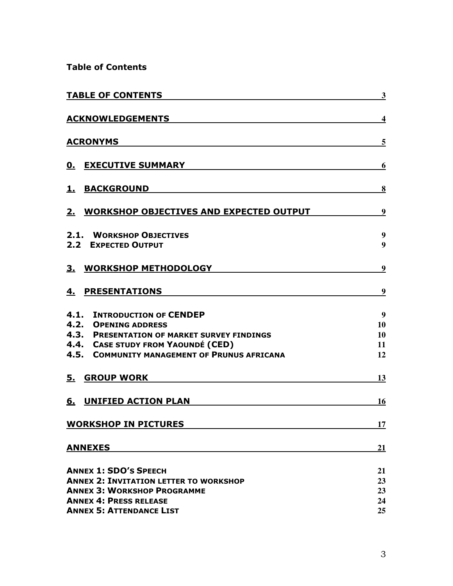Table of Contents

| <b>TABLE OF CONTENTS</b>                                                                                                                                                                               | $\overline{\mathbf{3}}$                  |
|--------------------------------------------------------------------------------------------------------------------------------------------------------------------------------------------------------|------------------------------------------|
| <b>ACKNOWLEDGEMENTS</b>                                                                                                                                                                                | $\overline{\mathbf{4}}$                  |
| <b>ACRONYMS</b>                                                                                                                                                                                        | 5                                        |
| <b>0. EXECUTIVE SUMMARY</b>                                                                                                                                                                            | 6                                        |
| <b>BACKGROUND</b><br><u>1.</u>                                                                                                                                                                         | 8                                        |
| 2. WORKSHOP OBJECTIVES AND EXPECTED OUTPUT                                                                                                                                                             | 9                                        |
| 2.1. WORKSHOP OBJECTIVES<br>2.2 EXPECTED OUTPUT                                                                                                                                                        | 9<br>9                                   |
| <b>WORKSHOP METHODOLOGY</b><br><u>3.</u>                                                                                                                                                               | $\boldsymbol{9}$                         |
| <b>PRESENTATIONS</b><br>4.                                                                                                                                                                             | 9                                        |
| <b>4.1. INTRODUCTION OF CENDEP</b><br><b>4.2. OPENING ADDRESS</b><br>4.3. PRESENTATION OF MARKET SURVEY FINDINGS<br>4.4. CASE STUDY FROM YAOUNDÉ (CED)<br>4.5. COMMUNITY MANAGEMENT OF PRUNUS AFRICANA | $\boldsymbol{9}$<br>10<br>10<br>11<br>12 |
| 5.<br><b>GROUP WORK</b>                                                                                                                                                                                | 13                                       |
| <b>UNIFIED ACTION PLAN</b><br>6.                                                                                                                                                                       | <u>16</u>                                |
| <b>WORKSHOP IN PICTURES</b>                                                                                                                                                                            | 17                                       |
| <b>ANNEXES</b>                                                                                                                                                                                         | 21                                       |
| <b>ANNEX 1: SDO'S SPEECH</b><br><b>ANNEX 2: INVITATION LETTER TO WORKSHOP</b><br><b>ANNEX 3: WORKSHOP PROGRAMME</b><br><b>ANNEX 4: PRESS RELEASE</b>                                                   | 21<br>23<br>23<br>24                     |
| <b>ANNEX 5: ATTENDANCE LIST</b>                                                                                                                                                                        | 25                                       |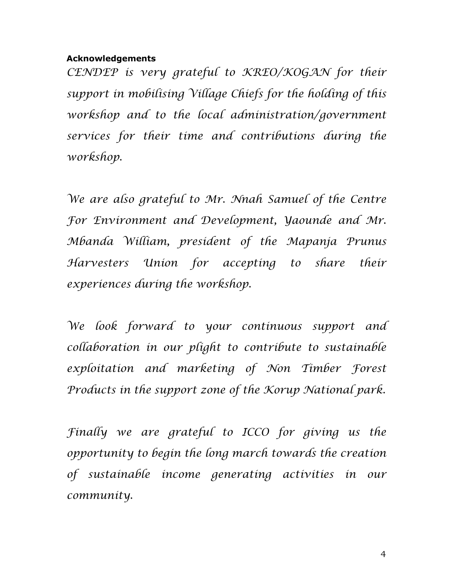# Acknowledgements

CENDEP is very grateful to KREO/KOGAN for their support in mobilising Village Chiefs for the holding of this workshop and to the local administration/government services for their time and contributions during the workshop.

We are also grateful to Mr. Nnah Samuel of the Centre For Environment and Development, Yaounde and Mr. Mbanda William, president of the Mapanja Prunus Harvesters Union for accepting to share their experiences during the workshop.

We look forward to your continuous support and collaboration in our plight to contribute to sustainable exploitation and marketing of Non Timber Forest Products in the support zone of the Korup National park.

Finally we are grateful to ICCO for giving us the opportunity to begin the long march towards the creation of sustainable income generating activities in our community.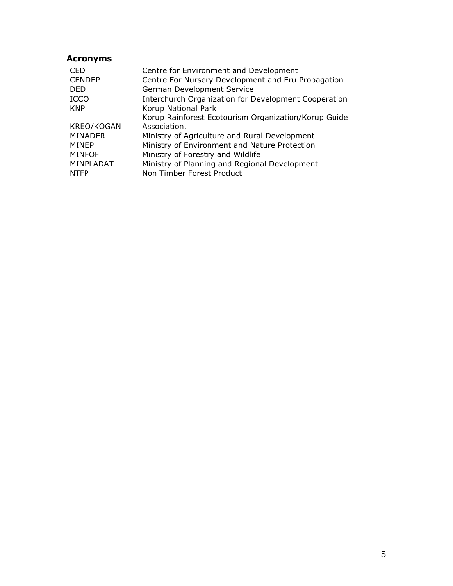# Acronyms

| <b>CED</b>     | Centre for Environment and Development               |
|----------------|------------------------------------------------------|
| <b>CENDEP</b>  | Centre For Nursery Development and Eru Propagation   |
| <b>DED</b>     | German Development Service                           |
| <b>ICCO</b>    | Interchurch Organization for Development Cooperation |
| <b>KNP</b>     | Korup National Park                                  |
|                | Korup Rainforest Ecotourism Organization/Korup Guide |
| KREO/KOGAN     | Association.                                         |
| <b>MINADER</b> | Ministry of Agriculture and Rural Development        |
| <b>MINEP</b>   | Ministry of Environment and Nature Protection        |
| <b>MINFOF</b>  | Ministry of Forestry and Wildlife                    |
| MINPLADAT      | Ministry of Planning and Regional Development        |
| <b>NTFP</b>    | Non Timber Forest Product                            |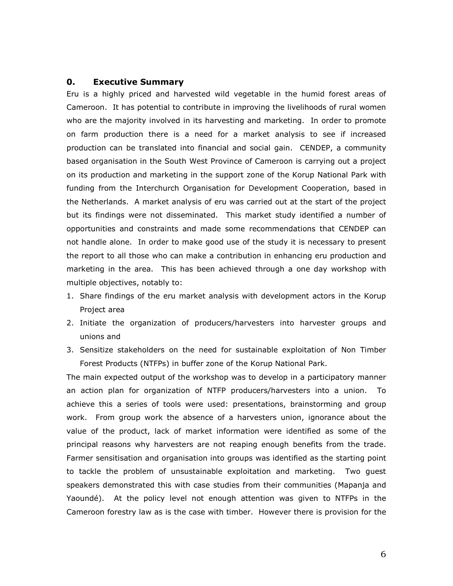#### 0. Executive Summary

Eru is a highly priced and harvested wild vegetable in the humid forest areas of Cameroon. It has potential to contribute in improving the livelihoods of rural women who are the majority involved in its harvesting and marketing. In order to promote on farm production there is a need for a market analysis to see if increased production can be translated into financial and social gain. CENDEP, a community based organisation in the South West Province of Cameroon is carrying out a project on its production and marketing in the support zone of the Korup National Park with funding from the Interchurch Organisation for Development Cooperation, based in the Netherlands. A market analysis of eru was carried out at the start of the project but its findings were not disseminated. This market study identified a number of opportunities and constraints and made some recommendations that CENDEP can not handle alone. In order to make good use of the study it is necessary to present the report to all those who can make a contribution in enhancing eru production and marketing in the area. This has been achieved through a one day workshop with multiple objectives, notably to:

- 1. Share findings of the eru market analysis with development actors in the Korup Project area
- 2. Initiate the organization of producers/harvesters into harvester groups and unions and
- 3. Sensitize stakeholders on the need for sustainable exploitation of Non Timber Forest Products (NTFPs) in buffer zone of the Korup National Park.

The main expected output of the workshop was to develop in a participatory manner an action plan for organization of NTFP producers/harvesters into a union. To achieve this a series of tools were used: presentations, brainstorming and group work. From group work the absence of a harvesters union, ignorance about the value of the product, lack of market information were identified as some of the principal reasons why harvesters are not reaping enough benefits from the trade. Farmer sensitisation and organisation into groups was identified as the starting point to tackle the problem of unsustainable exploitation and marketing. Two guest speakers demonstrated this with case studies from their communities (Mapanja and Yaoundé). At the policy level not enough attention was given to NTFPs in the Cameroon forestry law as is the case with timber. However there is provision for the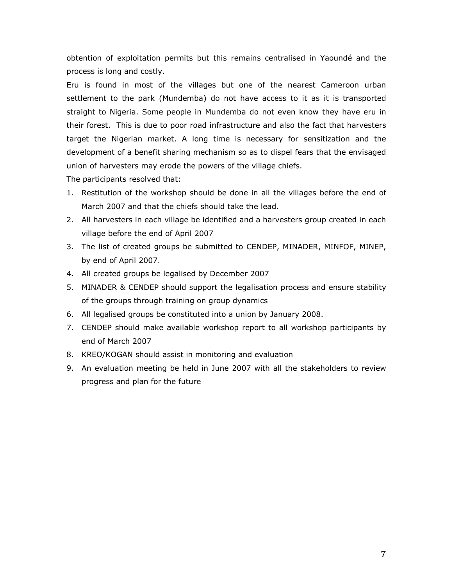obtention of exploitation permits but this remains centralised in Yaoundé and the process is long and costly.

Eru is found in most of the villages but one of the nearest Cameroon urban settlement to the park (Mundemba) do not have access to it as it is transported straight to Nigeria. Some people in Mundemba do not even know they have eru in their forest. This is due to poor road infrastructure and also the fact that harvesters target the Nigerian market. A long time is necessary for sensitization and the development of a benefit sharing mechanism so as to dispel fears that the envisaged union of harvesters may erode the powers of the village chiefs.

The participants resolved that:

- 1. Restitution of the workshop should be done in all the villages before the end of March 2007 and that the chiefs should take the lead.
- 2. All harvesters in each village be identified and a harvesters group created in each village before the end of April 2007
- 3. The list of created groups be submitted to CENDEP, MINADER, MINFOF, MINEP, by end of April 2007.
- 4. All created groups be legalised by December 2007
- 5. MINADER & CENDEP should support the legalisation process and ensure stability of the groups through training on group dynamics
- 6. All legalised groups be constituted into a union by January 2008.
- 7. CENDEP should make available workshop report to all workshop participants by end of March 2007
- 8. KREO/KOGAN should assist in monitoring and evaluation
- 9. An evaluation meeting be held in June 2007 with all the stakeholders to review progress and plan for the future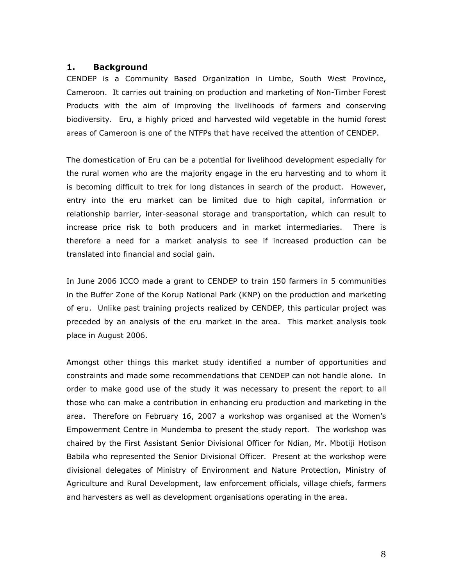#### 1. Background

CENDEP is a Community Based Organization in Limbe, South West Province, Cameroon. It carries out training on production and marketing of Non-Timber Forest Products with the aim of improving the livelihoods of farmers and conserving biodiversity. Eru, a highly priced and harvested wild vegetable in the humid forest areas of Cameroon is one of the NTFPs that have received the attention of CENDEP.

The domestication of Eru can be a potential for livelihood development especially for the rural women who are the majority engage in the eru harvesting and to whom it is becoming difficult to trek for long distances in search of the product. However, entry into the eru market can be limited due to high capital, information or relationship barrier, inter-seasonal storage and transportation, which can result to increase price risk to both producers and in market intermediaries. There is therefore a need for a market analysis to see if increased production can be translated into financial and social gain.

In June 2006 ICCO made a grant to CENDEP to train 150 farmers in 5 communities in the Buffer Zone of the Korup National Park (KNP) on the production and marketing of eru. Unlike past training projects realized by CENDEP, this particular project was preceded by an analysis of the eru market in the area. This market analysis took place in August 2006.

Amongst other things this market study identified a number of opportunities and constraints and made some recommendations that CENDEP can not handle alone. In order to make good use of the study it was necessary to present the report to all those who can make a contribution in enhancing eru production and marketing in the area. Therefore on February 16, 2007 a workshop was organised at the Women's Empowerment Centre in Mundemba to present the study report. The workshop was chaired by the First Assistant Senior Divisional Officer for Ndian, Mr. Mbotiji Hotison Babila who represented the Senior Divisional Officer. Present at the workshop were divisional delegates of Ministry of Environment and Nature Protection, Ministry of Agriculture and Rural Development, law enforcement officials, village chiefs, farmers and harvesters as well as development organisations operating in the area.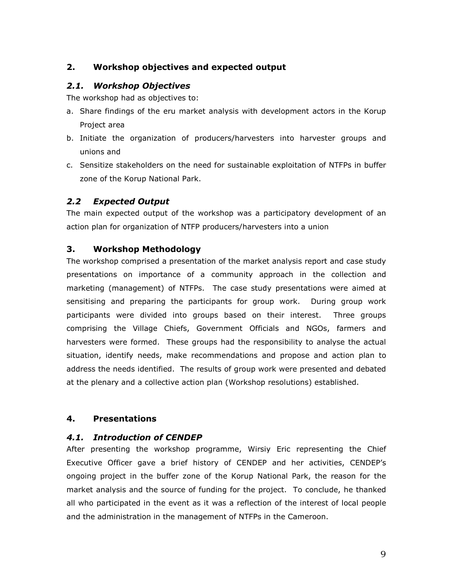# 2. Workshop objectives and expected output

# 2.1. Workshop Objectives

The workshop had as objectives to:

- a. Share findings of the eru market analysis with development actors in the Korup Project area
- b. Initiate the organization of producers/harvesters into harvester groups and unions and
- c. Sensitize stakeholders on the need for sustainable exploitation of NTFPs in buffer zone of the Korup National Park.

## 2.2 Expected Output

The main expected output of the workshop was a participatory development of an action plan for organization of NTFP producers/harvesters into a union

## 3. Workshop Methodology

The workshop comprised a presentation of the market analysis report and case study presentations on importance of a community approach in the collection and marketing (management) of NTFPs. The case study presentations were aimed at sensitising and preparing the participants for group work. During group work participants were divided into groups based on their interest. Three groups comprising the Village Chiefs, Government Officials and NGOs, farmers and harvesters were formed. These groups had the responsibility to analyse the actual situation, identify needs, make recommendations and propose and action plan to address the needs identified. The results of group work were presented and debated at the plenary and a collective action plan (Workshop resolutions) established.

#### 4. Presentations

#### 4.1. Introduction of CENDEP

After presenting the workshop programme, Wirsiy Eric representing the Chief Executive Officer gave a brief history of CENDEP and her activities, CENDEP's ongoing project in the buffer zone of the Korup National Park, the reason for the market analysis and the source of funding for the project. To conclude, he thanked all who participated in the event as it was a reflection of the interest of local people and the administration in the management of NTFPs in the Cameroon.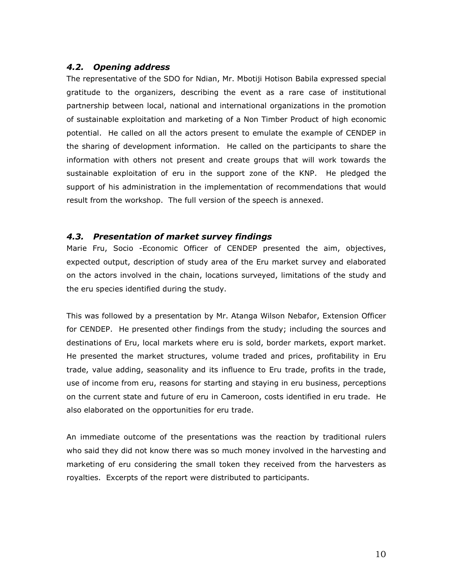#### 4.2. Opening address

The representative of the SDO for Ndian, Mr. Mbotiji Hotison Babila expressed special gratitude to the organizers, describing the event as a rare case of institutional partnership between local, national and international organizations in the promotion of sustainable exploitation and marketing of a Non Timber Product of high economic potential. He called on all the actors present to emulate the example of CENDEP in the sharing of development information. He called on the participants to share the information with others not present and create groups that will work towards the sustainable exploitation of eru in the support zone of the KNP. He pledged the support of his administration in the implementation of recommendations that would result from the workshop. The full version of the speech is annexed.

#### 4.3. Presentation of market survey findings

Marie Fru, Socio -Economic Officer of CENDEP presented the aim, objectives, expected output, description of study area of the Eru market survey and elaborated on the actors involved in the chain, locations surveyed, limitations of the study and the eru species identified during the study.

This was followed by a presentation by Mr. Atanga Wilson Nebafor, Extension Officer for CENDEP. He presented other findings from the study; including the sources and destinations of Eru, local markets where eru is sold, border markets, export market. He presented the market structures, volume traded and prices, profitability in Eru trade, value adding, seasonality and its influence to Eru trade, profits in the trade, use of income from eru, reasons for starting and staying in eru business, perceptions on the current state and future of eru in Cameroon, costs identified in eru trade. He also elaborated on the opportunities for eru trade.

An immediate outcome of the presentations was the reaction by traditional rulers who said they did not know there was so much money involved in the harvesting and marketing of eru considering the small token they received from the harvesters as royalties. Excerpts of the report were distributed to participants.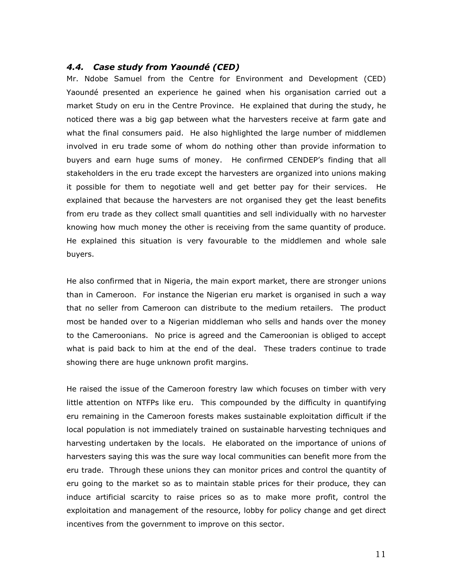## 4.4. Case study from Yaoundé (CED)

Mr. Ndobe Samuel from the Centre for Environment and Development (CED) Yaoundé presented an experience he gained when his organisation carried out a market Study on eru in the Centre Province. He explained that during the study, he noticed there was a big gap between what the harvesters receive at farm gate and what the final consumers paid. He also highlighted the large number of middlemen involved in eru trade some of whom do nothing other than provide information to buyers and earn huge sums of money. He confirmed CENDEP's finding that all stakeholders in the eru trade except the harvesters are organized into unions making it possible for them to negotiate well and get better pay for their services. He explained that because the harvesters are not organised they get the least benefits from eru trade as they collect small quantities and sell individually with no harvester knowing how much money the other is receiving from the same quantity of produce. He explained this situation is very favourable to the middlemen and whole sale buyers.

He also confirmed that in Nigeria, the main export market, there are stronger unions than in Cameroon. For instance the Nigerian eru market is organised in such a way that no seller from Cameroon can distribute to the medium retailers. The product most be handed over to a Nigerian middleman who sells and hands over the money to the Cameroonians. No price is agreed and the Cameroonian is obliged to accept what is paid back to him at the end of the deal. These traders continue to trade showing there are huge unknown profit margins.

He raised the issue of the Cameroon forestry law which focuses on timber with very little attention on NTFPs like eru. This compounded by the difficulty in quantifying eru remaining in the Cameroon forests makes sustainable exploitation difficult if the local population is not immediately trained on sustainable harvesting techniques and harvesting undertaken by the locals. He elaborated on the importance of unions of harvesters saying this was the sure way local communities can benefit more from the eru trade. Through these unions they can monitor prices and control the quantity of eru going to the market so as to maintain stable prices for their produce, they can induce artificial scarcity to raise prices so as to make more profit, control the exploitation and management of the resource, lobby for policy change and get direct incentives from the government to improve on this sector.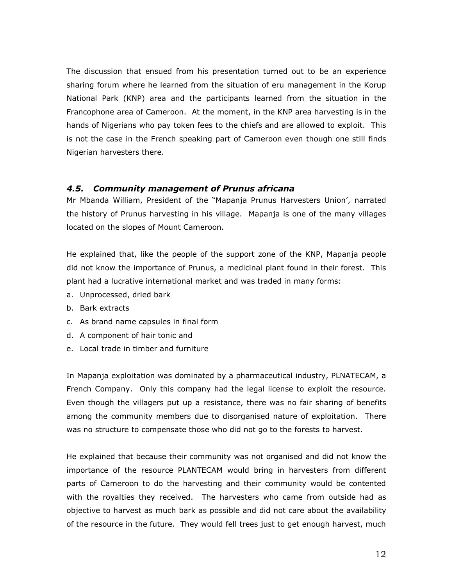The discussion that ensued from his presentation turned out to be an experience sharing forum where he learned from the situation of eru management in the Korup National Park (KNP) area and the participants learned from the situation in the Francophone area of Cameroon. At the moment, in the KNP area harvesting is in the hands of Nigerians who pay token fees to the chiefs and are allowed to exploit. This is not the case in the French speaking part of Cameroon even though one still finds Nigerian harvesters there.

#### 4.5. Community management of Prunus africana

Mr Mbanda William, President of the "Mapanja Prunus Harvesters Union', narrated the history of Prunus harvesting in his village. Mapanja is one of the many villages located on the slopes of Mount Cameroon.

He explained that, like the people of the support zone of the KNP, Mapanja people did not know the importance of Prunus, a medicinal plant found in their forest. This plant had a lucrative international market and was traded in many forms:

- a. Unprocessed, dried bark
- b. Bark extracts
- c. As brand name capsules in final form
- d. A component of hair tonic and
- e. Local trade in timber and furniture

In Mapanja exploitation was dominated by a pharmaceutical industry, PLNATECAM, a French Company. Only this company had the legal license to exploit the resource. Even though the villagers put up a resistance, there was no fair sharing of benefits among the community members due to disorganised nature of exploitation. There was no structure to compensate those who did not go to the forests to harvest.

He explained that because their community was not organised and did not know the importance of the resource PLANTECAM would bring in harvesters from different parts of Cameroon to do the harvesting and their community would be contented with the royalties they received. The harvesters who came from outside had as objective to harvest as much bark as possible and did not care about the availability of the resource in the future. They would fell trees just to get enough harvest, much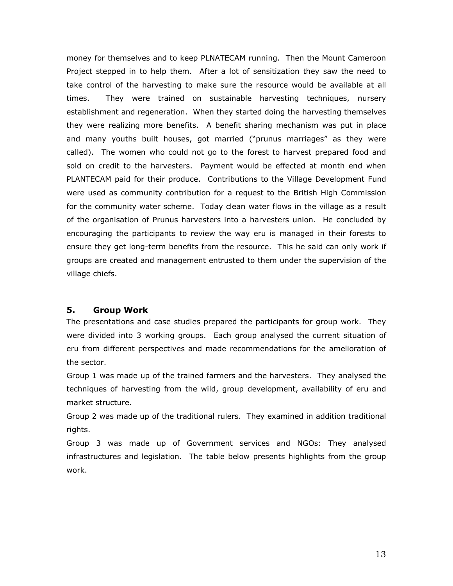money for themselves and to keep PLNATECAM running. Then the Mount Cameroon Project stepped in to help them. After a lot of sensitization they saw the need to take control of the harvesting to make sure the resource would be available at all times. They were trained on sustainable harvesting techniques, nursery establishment and regeneration. When they started doing the harvesting themselves they were realizing more benefits. A benefit sharing mechanism was put in place and many youths built houses, got married ("prunus marriages" as they were called). The women who could not go to the forest to harvest prepared food and sold on credit to the harvesters. Payment would be effected at month end when PLANTECAM paid for their produce. Contributions to the Village Development Fund were used as community contribution for a request to the British High Commission for the community water scheme. Today clean water flows in the village as a result of the organisation of Prunus harvesters into a harvesters union. He concluded by encouraging the participants to review the way eru is managed in their forests to ensure they get long-term benefits from the resource. This he said can only work if groups are created and management entrusted to them under the supervision of the village chiefs.

# 5. Group Work

The presentations and case studies prepared the participants for group work. They were divided into 3 working groups. Each group analysed the current situation of eru from different perspectives and made recommendations for the amelioration of the sector.

Group 1 was made up of the trained farmers and the harvesters. They analysed the techniques of harvesting from the wild, group development, availability of eru and market structure.

Group 2 was made up of the traditional rulers. They examined in addition traditional rights.

Group 3 was made up of Government services and NGOs: They analysed infrastructures and legislation. The table below presents highlights from the group work.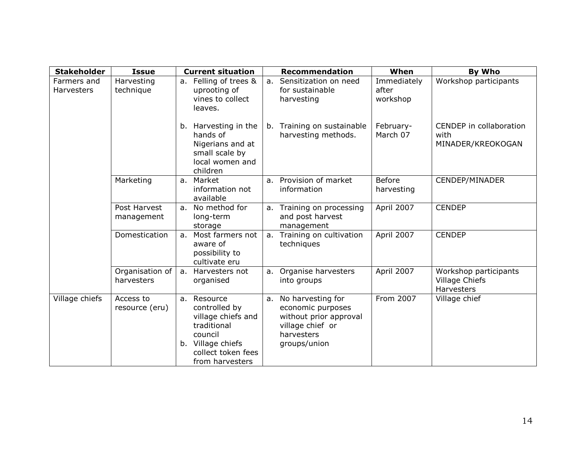| <b>Stakeholder</b>        | <b>Issue</b>                  | <b>Current situation</b>                                                                                                                   | <b>Recommendation</b>                                                                                                 | When                             | By Who                                                       |
|---------------------------|-------------------------------|--------------------------------------------------------------------------------------------------------------------------------------------|-----------------------------------------------------------------------------------------------------------------------|----------------------------------|--------------------------------------------------------------|
| Farmers and<br>Harvesters | Harvesting<br>technique       | a. Felling of trees &<br>uprooting of<br>vines to collect<br>leaves.                                                                       | a. Sensitization on need<br>for sustainable<br>harvesting                                                             | Immediately<br>after<br>workshop | Workshop participants                                        |
|                           |                               | b. Harvesting in the<br>hands of<br>Nigerians and at<br>small scale by<br>local women and<br>children                                      | b. Training on sustainable<br>harvesting methods.                                                                     | February-<br>March 07            | CENDEP in collaboration<br>with<br>MINADER/KREOKOGAN         |
|                           | Marketing                     | a. Market<br>information not<br>available                                                                                                  | a. Provision of market<br>information                                                                                 | <b>Before</b><br>harvesting      | CENDEP/MINADER                                               |
|                           | Post Harvest<br>management    | a. No method for<br>long-term<br>storage                                                                                                   | a. Training on processing<br>and post harvest<br>management                                                           | April 2007                       | <b>CENDEP</b>                                                |
|                           | Domestication                 | Most farmers not<br>a.<br>aware of<br>possibility to<br>cultivate eru                                                                      | a. Training on cultivation<br>techniques                                                                              | April 2007                       | <b>CENDEP</b>                                                |
|                           | Organisation of<br>harvesters | Harvesters not<br>a.<br>organised                                                                                                          | a. Organise harvesters<br>into groups                                                                                 | April 2007                       | Workshop participants<br><b>Village Chiefs</b><br>Harvesters |
| Village chiefs            | Access to<br>resource (eru)   | a. Resource<br>controlled by<br>village chiefs and<br>traditional<br>council<br>b. Village chiefs<br>collect token fees<br>from harvesters | a. No harvesting for<br>economic purposes<br>without prior approval<br>village chief or<br>harvesters<br>groups/union | From 2007                        | Village chief                                                |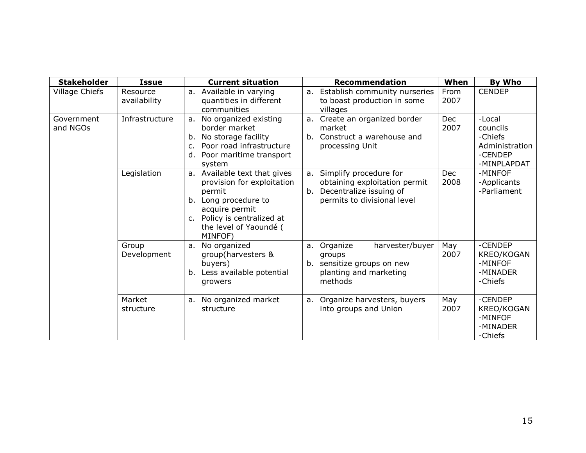| <b>Stakeholder</b>     | <b>Issue</b>             | <b>Current situation</b>                                                                                                                                                           | <b>Recommendation</b>                                                                                                         | When               | By Who                                                                    |
|------------------------|--------------------------|------------------------------------------------------------------------------------------------------------------------------------------------------------------------------------|-------------------------------------------------------------------------------------------------------------------------------|--------------------|---------------------------------------------------------------------------|
| Village Chiefs         | Resource<br>availability | a. Available in varying<br>quantities in different<br>communities                                                                                                                  | Establish community nurseries<br>a.<br>to boast production in some<br>villages                                                | From<br>2007       | <b>CENDEP</b>                                                             |
| Government<br>and NGOs | Infrastructure           | No organized existing<br>a.<br>border market<br>No storage facility<br>b.<br>Poor road infrastructure<br>c.<br>d. Poor maritime transport<br>system                                | Create an organized border<br>a.<br>market<br>Construct a warehouse and<br>b.<br>processing Unit                              | <b>Dec</b><br>2007 | -Local<br>councils<br>-Chiefs<br>Administration<br>-CENDEP<br>-MINPLAPDAT |
|                        | Legislation              | a. Available text that gives<br>provision for exploitation<br>permit<br>b. Long procedure to<br>acquire permit<br>c. Policy is centralized at<br>the level of Yaoundé (<br>MINFOF) | Simplify procedure for<br>a.<br>obtaining exploitation permit<br>Decentralize issuing of<br>b.<br>permits to divisional level | <b>Dec</b><br>2008 | -MINFOF<br>-Applicants<br>-Parliament                                     |
|                        | Group<br>Development     | No organized<br>a.<br>group(harvesters &<br>buyers)<br>b. Less available potential<br>growers                                                                                      | harvester/buyer<br>Organize<br>a.<br>groups<br>sensitize groups on new<br>b.<br>planting and marketing<br>methods             | May<br>2007        | -CENDEP<br>KREO/KOGAN<br>-MINFOF<br>-MINADER<br>-Chiefs                   |
|                        | Market<br>structure      | No organized market<br>a.<br>structure                                                                                                                                             | Organize harvesters, buyers<br>a.<br>into groups and Union                                                                    | May<br>2007        | -CENDEP<br>KREO/KOGAN<br>-MINFOF<br>-MINADER<br>-Chiefs                   |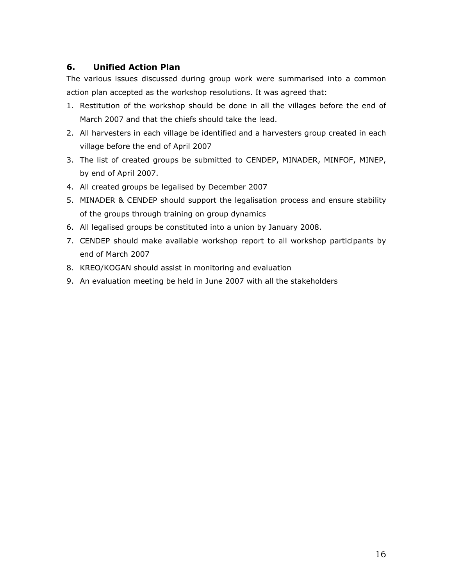# 6. Unified Action Plan

The various issues discussed during group work were summarised into a common action plan accepted as the workshop resolutions. It was agreed that:

- 1. Restitution of the workshop should be done in all the villages before the end of March 2007 and that the chiefs should take the lead.
- 2. All harvesters in each village be identified and a harvesters group created in each village before the end of April 2007
- 3. The list of created groups be submitted to CENDEP, MINADER, MINFOF, MINEP, by end of April 2007.
- 4. All created groups be legalised by December 2007
- 5. MINADER & CENDEP should support the legalisation process and ensure stability of the groups through training on group dynamics
- 6. All legalised groups be constituted into a union by January 2008.
- 7. CENDEP should make available workshop report to all workshop participants by end of March 2007
- 8. KREO/KOGAN should assist in monitoring and evaluation
- 9. An evaluation meeting be held in June 2007 with all the stakeholders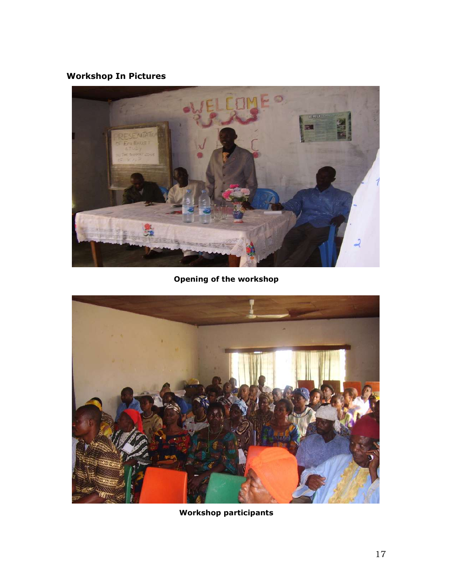# Workshop In Pictures



Opening of the workshop



Workshop participants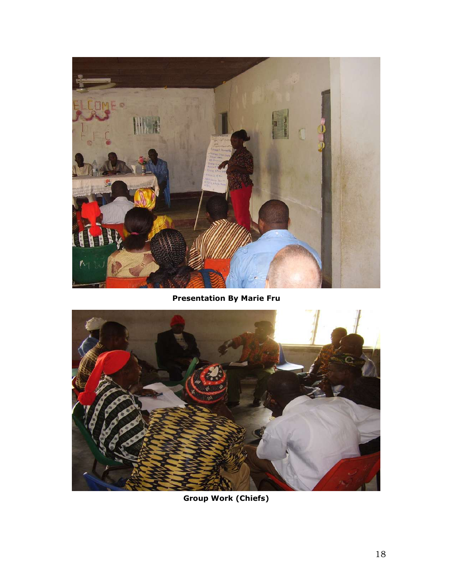

Presentation By Marie Fru



Group Work (Chiefs)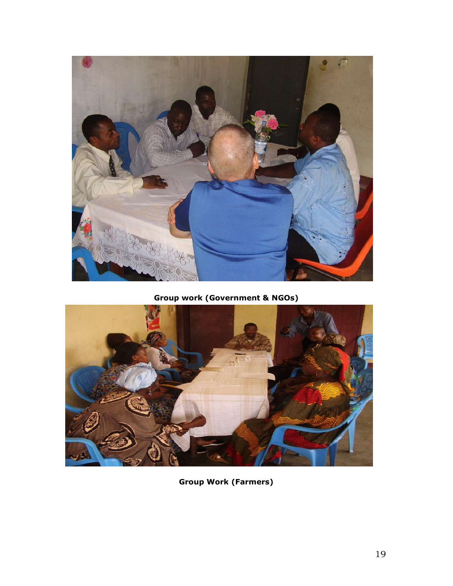

Group work (Government & NGOs)



Group Work (Farmers)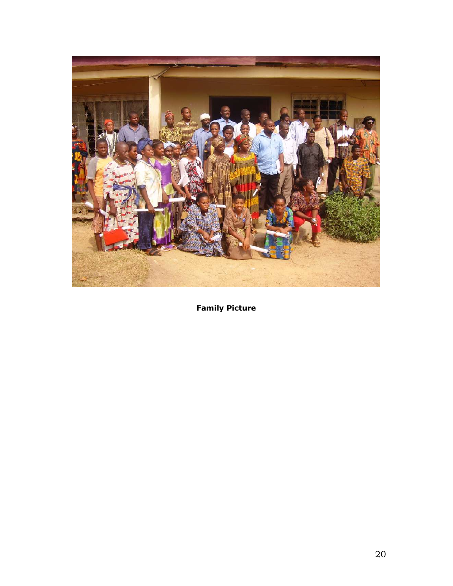

Family Picture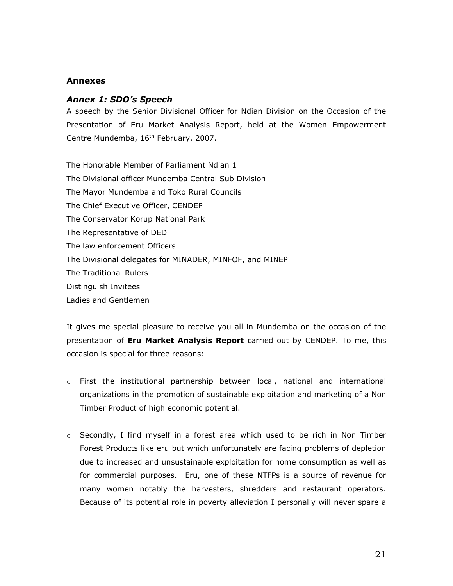#### Annexes

#### Annex 1: SDO's Speech

A speech by the Senior Divisional Officer for Ndian Division on the Occasion of the Presentation of Eru Market Analysis Report, held at the Women Empowerment Centre Mundemba, 16<sup>th</sup> February, 2007.

The Honorable Member of Parliament Ndian 1 The Divisional officer Mundemba Central Sub Division The Mayor Mundemba and Toko Rural Councils The Chief Executive Officer, CENDEP The Conservator Korup National Park The Representative of DED The law enforcement Officers The Divisional delegates for MINADER, MINFOF, and MINEP The Traditional Rulers Distinguish Invitees Ladies and Gentlemen

It gives me special pleasure to receive you all in Mundemba on the occasion of the presentation of Eru Market Analysis Report carried out by CENDEP. To me, this occasion is special for three reasons:

- $\circ$  First the institutional partnership between local, national and international organizations in the promotion of sustainable exploitation and marketing of a Non Timber Product of high economic potential.
- o Secondly, I find myself in a forest area which used to be rich in Non Timber Forest Products like eru but which unfortunately are facing problems of depletion due to increased and unsustainable exploitation for home consumption as well as for commercial purposes. Eru, one of these NTFPs is a source of revenue for many women notably the harvesters, shredders and restaurant operators. Because of its potential role in poverty alleviation I personally will never spare a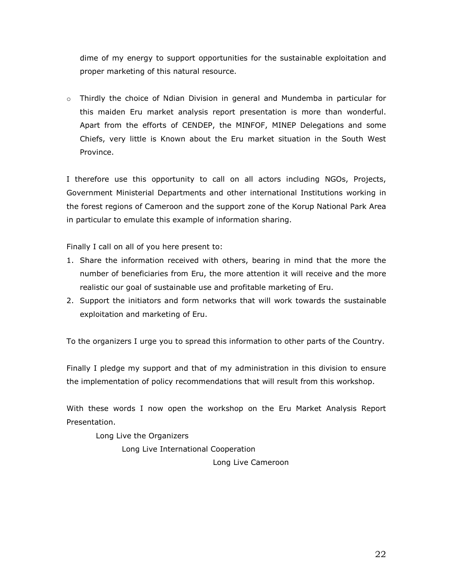dime of my energy to support opportunities for the sustainable exploitation and proper marketing of this natural resource.

 $\circ$  Thirdly the choice of Ndian Division in general and Mundemba in particular for this maiden Eru market analysis report presentation is more than wonderful. Apart from the efforts of CENDEP, the MINFOF, MINEP Delegations and some Chiefs, very little is Known about the Eru market situation in the South West Province.

I therefore use this opportunity to call on all actors including NGOs, Projects, Government Ministerial Departments and other international Institutions working in the forest regions of Cameroon and the support zone of the Korup National Park Area in particular to emulate this example of information sharing.

Finally I call on all of you here present to:

- 1. Share the information received with others, bearing in mind that the more the number of beneficiaries from Eru, the more attention it will receive and the more realistic our goal of sustainable use and profitable marketing of Eru.
- 2. Support the initiators and form networks that will work towards the sustainable exploitation and marketing of Eru.

To the organizers I urge you to spread this information to other parts of the Country.

Finally I pledge my support and that of my administration in this division to ensure the implementation of policy recommendations that will result from this workshop.

With these words I now open the workshop on the Eru Market Analysis Report Presentation.

Long Live the Organizers

Long Live International Cooperation

Long Live Cameroon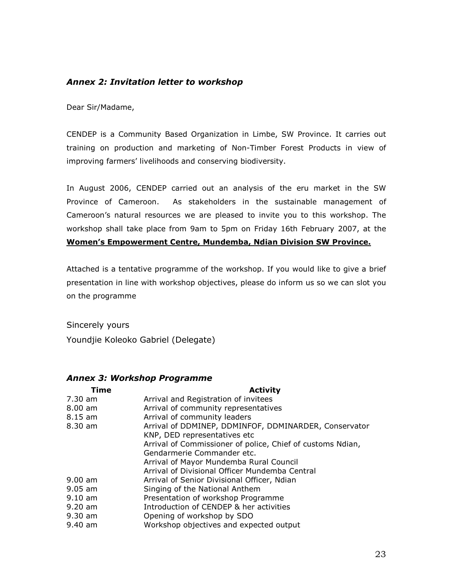# Annex 2: Invitation letter to workshop

Dear Sir/Madame,

CENDEP is a Community Based Organization in Limbe, SW Province. It carries out training on production and marketing of Non-Timber Forest Products in view of improving farmers' livelihoods and conserving biodiversity.

In August 2006, CENDEP carried out an analysis of the eru market in the SW Province of Cameroon. As stakeholders in the sustainable management of Cameroon's natural resources we are pleased to invite you to this workshop. The workshop shall take place from 9am to 5pm on Friday 16th February 2007, at the Women's Empowerment Centre, Mundemba, Ndian Division SW Province.

Attached is a tentative programme of the workshop. If you would like to give a brief presentation in line with workshop objectives, please do inform us so we can slot you on the programme

Sincerely yours Youndjie Koleoko Gabriel (Delegate)

#### Annex 3: Workshop Programme

| Time              | <b>Activity</b>                                            |
|-------------------|------------------------------------------------------------|
| 7.30 am           | Arrival and Registration of invitees                       |
| $8.00 \text{ am}$ | Arrival of community representatives                       |
| 8.15 am           | Arrival of community leaders                               |
| 8.30 am           | Arrival of DDMINEP, DDMINFOF, DDMINARDER, Conservator      |
|                   | KNP, DED representatives etc                               |
|                   | Arrival of Commissioner of police, Chief of customs Ndian, |
|                   | Gendarmerie Commander etc.                                 |
|                   | Arrival of Mayor Mundemba Rural Council                    |
|                   | Arrival of Divisional Officer Mundemba Central             |
| $9.00$ am         | Arrival of Senior Divisional Officer, Ndian                |
| $9.05$ am         | Singing of the National Anthem                             |
| $9.10$ am         | Presentation of workshop Programme                         |
| $9.20$ am         | Introduction of CENDEP & her activities                    |
| $9.30$ am         | Opening of workshop by SDO                                 |
| 9.40 am           | Workshop objectives and expected output                    |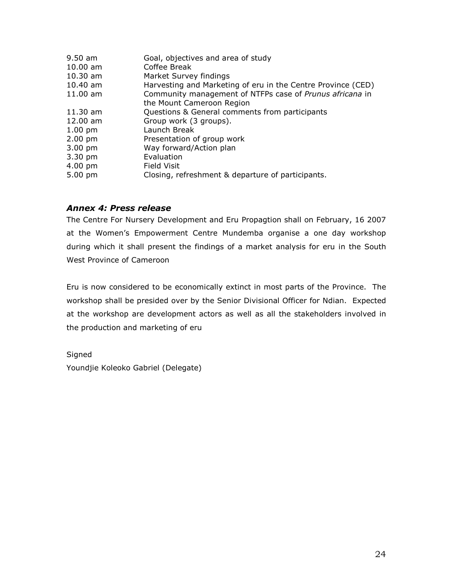| $9.50$ am         | Goal, objectives and area of study                           |
|-------------------|--------------------------------------------------------------|
| $10.00$ am        | Coffee Break                                                 |
| $10.30$ am        | Market Survey findings                                       |
| 10.40 am          | Harvesting and Marketing of eru in the Centre Province (CED) |
| $11.00$ am        | Community management of NTFPs case of Prunus africana in     |
|                   | the Mount Cameroon Region                                    |
| $11.30$ am        | Questions & General comments from participants               |
| 12.00 am          | Group work (3 groups).                                       |
| $1.00 \text{ pm}$ | Launch Break                                                 |
| $2.00$ pm         | Presentation of group work                                   |
| $3.00 \text{ pm}$ | Way forward/Action plan                                      |
| 3.30 pm           | Evaluation                                                   |
| 4.00 pm           | Field Visit                                                  |
| $5.00 \text{ pm}$ | Closing, refreshment & departure of participants.            |

# Annex 4: Press release

The Centre For Nursery Development and Eru Propagtion shall on February, 16 2007 at the Women's Empowerment Centre Mundemba organise a one day workshop during which it shall present the findings of a market analysis for eru in the South West Province of Cameroon

Eru is now considered to be economically extinct in most parts of the Province. The workshop shall be presided over by the Senior Divisional Officer for Ndian. Expected at the workshop are development actors as well as all the stakeholders involved in the production and marketing of eru

Signed Youndjie Koleoko Gabriel (Delegate)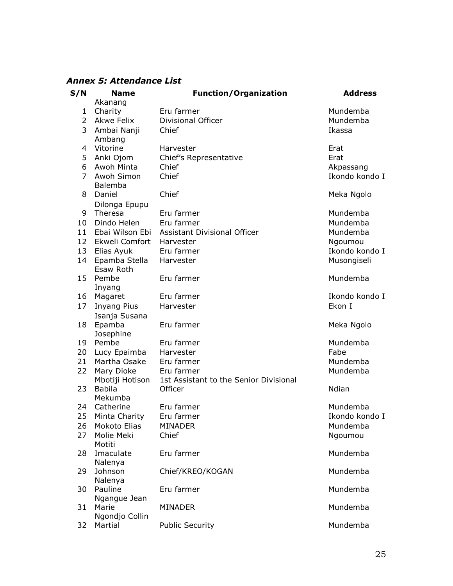Annex 5: Attendance List

| S/N             | <b>Name</b>       | <b>Function/Organization</b>                 | <b>Address</b> |
|-----------------|-------------------|----------------------------------------------|----------------|
|                 | Akanang           |                                              |                |
| $\mathbf{1}$    | Charity           | Eru farmer                                   | Mundemba       |
| $\overline{2}$  | <b>Akwe Felix</b> | Divisional Officer                           | Mundemba       |
| 3               | Ambai Nanji       | Chief                                        | Ikassa         |
|                 | Ambang            |                                              |                |
| 4               | Vitorine          | Harvester                                    | Erat           |
| 5               | Anki Ojom         | Chief's Representative                       | Erat           |
| 6               | Awoh Minta        | Chief                                        | Akpassang      |
| $\overline{7}$  | Awoh Simon        | Chief                                        | Ikondo kondo I |
|                 | Balemba           |                                              |                |
| 8               | Daniel            | Chief                                        | Meka Ngolo     |
|                 | Dilonga Epupu     |                                              |                |
| 9               | Theresa           | Eru farmer                                   | Mundemba       |
| 10              | Dindo Helen       | Eru farmer                                   | Mundemba       |
| 11              |                   | Ebai Wilson Ebi Assistant Divisional Officer | Mundemba       |
| 12 <sup>7</sup> | Ekweli Comfort    | Harvester                                    | Ngoumou        |
| 13              | Elias Ayuk        | Eru farmer                                   | Ikondo kondo I |
| 14              | Epamba Stella     | Harvester                                    | Musongiseli    |
|                 | Esaw Roth         |                                              |                |
| 15              | Pembe             | Eru farmer                                   | Mundemba       |
|                 |                   |                                              |                |
|                 | Inyang            | Eru farmer                                   | Ikondo kondo I |
| 17              | 16 Magaret        |                                              | Ekon I         |
|                 | Inyang Pius       | Harvester                                    |                |
|                 | Isanja Susana     |                                              |                |
|                 | 18 Epamba         | Eru farmer                                   | Meka Ngolo     |
|                 | Josephine         |                                              |                |
|                 | 19 Pembe          | Eru farmer                                   | Mundemba       |
| 20              | Lucy Epaimba      | Harvester                                    | Fabe           |
| 21              | Martha Osake      | Eru farmer                                   | Mundemba       |
| 22              | Mary Dioke        | Eru farmer                                   | Mundemba       |
|                 | Mbotiji Hotison   | 1st Assistant to the Senior Divisional       |                |
| 23              | <b>Babila</b>     | Officer                                      | Ndian          |
|                 | Mekumba           |                                              |                |
| 24              | Catherine         | Eru farmer                                   | Mundemba       |
|                 | 25 Minta Charity  | Eru farmer                                   | Ikondo kondo I |
| 26              | Mokoto Elias      | <b>MINADER</b>                               | Mundemba       |
| 27              | Molie Meki        | Chief                                        | Ngoumou        |
|                 | Motiti            |                                              |                |
| 28              | Imaculate         | Eru farmer                                   | Mundemba       |
|                 | Nalenya           |                                              |                |
| 29.             | Johnson           | Chief/KREO/KOGAN                             | Mundemba       |
|                 | Nalenya           |                                              |                |
| 30              | Pauline           | Eru farmer                                   | Mundemba       |
|                 | Ngangue Jean      |                                              |                |
| 31              | Marie             | <b>MINADER</b>                               | Mundemba       |
|                 | Ngondjo Collin    |                                              |                |
| 32              | Martial           | <b>Public Security</b>                       | Mundemba       |